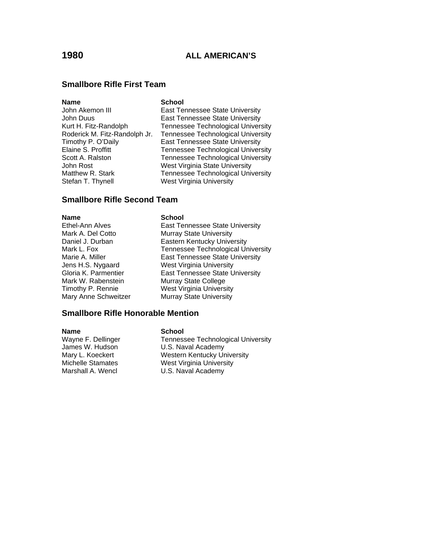# **Smallbore Rifle First Team**

### **Name** School

Stefan T. Thynell West Virginia University

John Akemon III **East Tennessee State University** John Duus East Tennessee State University Kurt H. Fitz-Randolph Tennessee Technological University Roderick M. Fitz-Randolph Jr. Tennessee Technological University Timothy P. O'Daily **East Tennessee State University** Elaine S. Proffitt Tennessee Technological University Scott A. Ralston Tennessee Technological University John Rost **West Virginia State University** Matthew R. Stark Tennessee Technological University

# **Smallbore Rifle Second Team**

### **Name School**

Ethel-Ann Alves **East Tennessee State University** Mark A. Del Cotto Murray State University Daniel J. Durban **Eastern Kentucky University** Mark L. Fox **Tennessee Technological University**<br>Marie A. Miller **New Youan Heart Tennessee State University** East Tennessee State University Jens H.S. Nygaard West Virginia University Gloria K. Parmentier **East Tennessee State University** Mark W. Rabenstein Murray State College Timothy P. Rennie West Virginia University Mary Anne Schweitzer Murray State University

## **Smallbore Rifle Honorable Mention**

### **Name** School

Wayne F. Dellinger Tennessee Technological University James W. Hudson **U.S. Naval Academy**<br>Mary L. Koeckert **Western Kentucky Ur** Mary L. Koeckert **Mestern Kentucky University**<br>Michelle Stamates **Mest West Virginia University** West Virginia University Marshall A. Wencl **U.S. Naval Academy**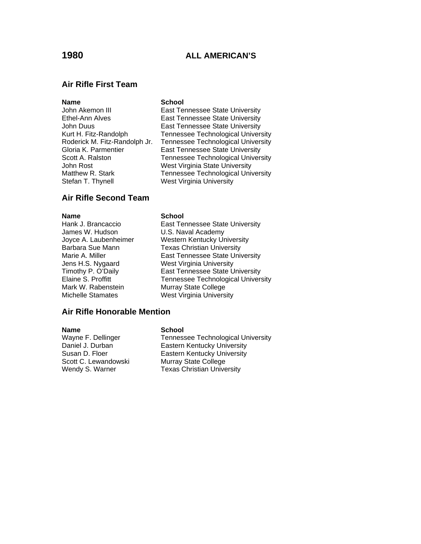# **1980 ALL AMERICAN'S**

## **Air Rifle First Team**

### **Name** School

Stefan T. Thynell West Virginia University

John Akemon III **East Tennessee State University** Ethel-Ann Alves East Tennessee State University John Duus East Tennessee State University Kurt H. Fitz-Randolph Tennessee Technological University Roderick M. Fitz-Randolph Jr. Tennessee Technological University Gloria K. Parmentier **East Tennessee State University** Scott A. Ralston Tennessee Technological University John Rost **West Virginia State University** Matthew R. Stark Tennessee Technological University

## **Air Rifle Second Team**

James W. Hudson U.S. Naval Academy

### **Name** School

Hank J. Brancaccio **East Tennessee State University** Joyce A. Laubenheimer Western Kentucky University Barbara Sue Mann Texas Christian University Marie A. Miller **East Tennessee State University** Jens H.S. Nygaard West Virginia University Timothy P. O'Daily **East Tennessee State University**<br>Elaine S. Proffitt **Elaine S. Profitt** Fennessee Technological Univers Elaine S. Proffitt **Tennessee Technological University**<br>
Murray State College<br>
Murray State College Murray State College Michelle Stamates West Virginia University

### **Air Rifle Honorable Mention**

Scott C. Lewandowski Murray State College

### **Name** School

Wayne F. Dellinger Tennessee Technological University Daniel J. Durban **Eastern Kentucky University**<br>
Susan D. Floer **Eastern Kentucky University Eastern Kentucky University** Wendy S. Warner Texas Christian University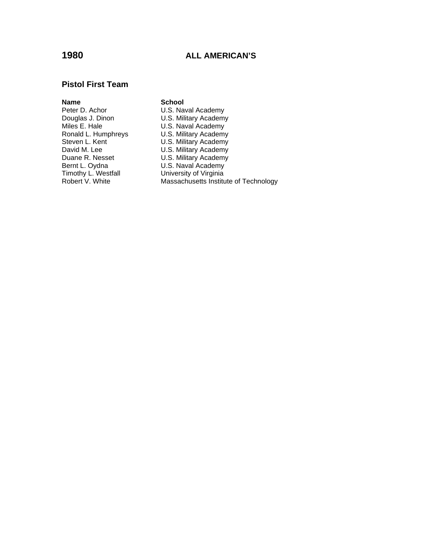# **1980 ALL AMERICAN'S**

## **Pistol First Team**

**Name School**<br> **Peter D. Achor CONSERVING U.S. Nav** Miles E. Hale U.S. Naval Academy<br>
Ronald L. Humphreys U.S. Military Academy<br>
Steven L. Kent U.S. Military Academy Bernt L. Oydna U.S. Naval Academy<br>Timothy L. Westfall University of Virginia Timothy L. Westfall **University of Virginia**<br>
Robert V. White **Massachusetts** Institu

Peter D. Achor **U.S. Naval Academy**<br>
Douglas J. Dinon **U.S. Military Academy** Douglas J. Dinon U.S. Military Academy<br>Miles E. Hale U.S. Naval Academy Ronald L. Humphreys U.S. Military Academy Steven L. Kent **East Communist CLS. Military Academy** David M. Lee **U.S. Military Academy** Duane R. Nesset U.S. Military Academy Massachusetts Institute of Technology